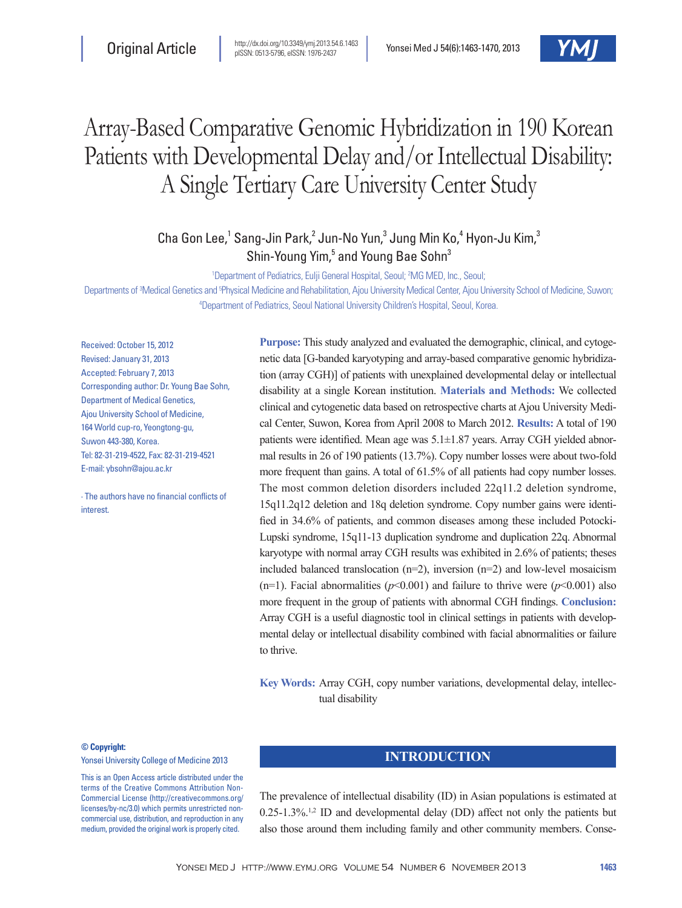

# Array-Based Comparative Genomic Hybridization in 190 Korean Patients with Developmental Delay and/or Intellectual Disability: A Single Tertiary Care University Center Study

Cha Gon Lee,<sup>1</sup> Sang-Jin Park,<sup>2</sup> Jun-No Yun,<sup>3</sup> Jung Min Ko,<sup>4</sup> Hyon-Ju Kim,<sup>3</sup> Shin-Young Yim,<sup>5</sup> and Young Bae Sohn<sup>3</sup>

<sup>1</sup>Department of Pediatrics, Eulji General Hospital, Seoul; <sup>2</sup>MG MED, Inc., Seoul;

Departments of <sup>3</sup>Medical Genetics and <sup>sp</sup>hysical Medicine and Rehabilitation, Ajou University Medical Center, Ajou University School of Medicine, Suwon; 4 Department of Pediatrics, Seoul National University Children's Hospital, Seoul, Korea.

Received: October 15, 2012 Revised: January 31, 2013 Accepted: February 7, 2013 Corresponding author: Dr. Young Bae Sohn, Department of Medical Genetics, Ajou University School of Medicine, 164 World cup-ro, Yeongtong-gu, Suwon 443-380, Korea. Tel: 82-31-219-4522, Fax: 82-31-219-4521 E-mail: ybsohn@ajou.ac.kr

∙ The authors have no financial conflicts of interest.

**Purpose:** This study analyzed and evaluated the demographic, clinical, and cytogenetic data [G-banded karyotyping and array-based comparative genomic hybridization (array CGH)] of patients with unexplained developmental delay or intellectual disability at a single Korean institution. **Materials and Methods:** We collected clinical and cytogenetic data based on retrospective charts at Ajou University Medical Center, Suwon, Korea from April 2008 to March 2012. **Results:** A total of 190 patients were identified. Mean age was 5.1±1.87 years. Array CGH yielded abnormal results in 26 of 190 patients (13.7%). Copy number losses were about two-fold more frequent than gains. A total of 61.5% of all patients had copy number losses. The most common deletion disorders included 22q11.2 deletion syndrome, 15q11.2q12 deletion and 18q deletion syndrome. Copy number gains were identified in 34.6% of patients, and common diseases among these included Potocki-Lupski syndrome, 15q11-13 duplication syndrome and duplication 22q. Abnormal karyotype with normal array CGH results was exhibited in 2.6% of patients; theses included balanced translocation (n=2), inversion (n=2) and low-level mosaicism (n=1). Facial abnormalities ( $p$ <0.001) and failure to thrive were ( $p$ <0.001) also more frequent in the group of patients with abnormal CGH findings. **Conclusion:** Array CGH is a useful diagnostic tool in clinical settings in patients with developmental delay or intellectual disability combined with facial abnormalities or failure to thrive.

**Key Words:** Array CGH, copy number variations, developmental delay, intellectual disability

#### **© Copyright:**

Yonsei University College of Medicine 2013

This is an Open Access article distributed under the terms of the Creative Commons Attribution Non-Commercial License (http://creativecommons.org/ licenses/by-nc/3.0) which permits unrestricted noncommercial use, distribution, and reproduction in any medium, provided the original work is properly cited.

#### **INTRODUCTION**

The prevalence of intellectual disability (ID) in Asian populations is estimated at  $0.25$ -1.3%.<sup>1,2</sup> ID and developmental delay (DD) affect not only the patients but also those around them including family and other community members. Conse-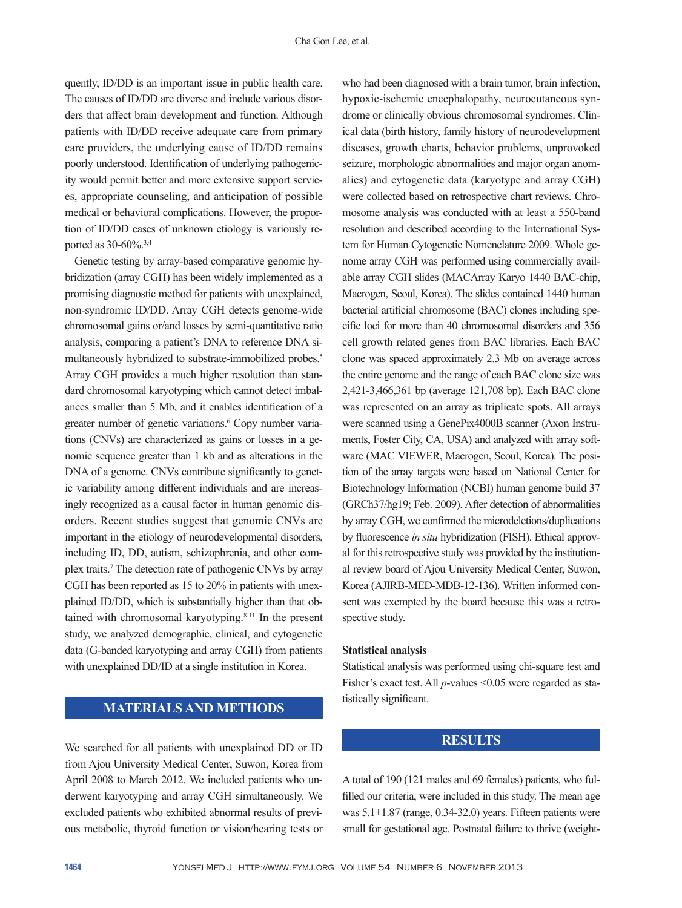quently, ID/DD is an important issue in public health care. The causes of ID/DD are diverse and include various disorders that affect brain development and function. Although patients with ID/DD receive adequate care from primary care providers, the underlying cause of ID/DD remains poorly understood. Identification of underlying pathogenicity would permit better and more extensive support services, appropriate counseling, and anticipation of possible medical or behavioral complications. However, the proportion of ID/DD cases of unknown etiology is variously reported as 30-60%.3,4

Genetic testing by array-based comparative genomic hybridization (array CGH) has been widely implemented as a promising diagnostic method for patients with unexplained, non-syndromic ID/DD. Array CGH detects genome-wide chromosomal gains or/and losses by semi-quantitative ratio analysis, comparing a patient's DNA to reference DNA simultaneously hybridized to substrate-immobilized probes.<sup>5</sup> Array CGH provides a much higher resolution than standard chromosomal karyotyping which cannot detect imbalances smaller than 5 Mb, and it enables identification of a greater number of genetic variations.<sup>6</sup> Copy number variations (CNVs) are characterized as gains or losses in a genomic sequence greater than 1 kb and as alterations in the DNA of a genome. CNVs contribute significantly to genetic variability among different individuals and are increasingly recognized as a causal factor in human genomic disorders. Recent studies suggest that genomic CNVs are important in the etiology of neurodevelopmental disorders, including ID, DD, autism, schizophrenia, and other complex traits.7 The detection rate of pathogenic CNVs by array CGH has been reported as 15 to 20% in patients with unexplained ID/DD, which is substantially higher than that obtained with chromosomal karyotyping.<sup>8-11</sup> In the present study, we analyzed demographic, clinical, and cytogenetic data (G-banded karyotyping and array CGH) from patients with unexplained DD/ID at a single institution in Korea.

## **MATERIALS AND METHODS**

We searched for all patients with unexplained DD or ID from Ajou University Medical Center, Suwon, Korea from April 2008 to March 2012. We included patients who underwent karyotyping and array CGH simultaneously. We excluded patients who exhibited abnormal results of previous metabolic, thyroid function or vision/hearing tests or

who had been diagnosed with a brain tumor, brain infection, hypoxic-ischemic encephalopathy, neurocutaneous syndrome or clinically obvious chromosomal syndromes. Clinical data (birth history, family history of neurodevelopment diseases, growth charts, behavior problems, unprovoked seizure, morphologic abnormalities and major organ anomalies) and cytogenetic data (karyotype and array CGH) were collected based on retrospective chart reviews. Chromosome analysis was conducted with at least a 550-band resolution and described according to the International System for Human Cytogenetic Nomenclature 2009. Whole genome array CGH was performed using commercially available array CGH slides (MACArray Karyo 1440 BAC-chip, Macrogen, Seoul, Korea). The slides contained 1440 human bacterial artificial chromosome (BAC) clones including specific loci for more than 40 chromosomal disorders and 356 cell growth related genes from BAC libraries. Each BAC clone was spaced approximately 2.3 Mb on average across the entire genome and the range of each BAC clone size was 2,421-3,466,361 bp (average 121,708 bp). Each BAC clone was represented on an array as triplicate spots. All arrays were scanned using a GenePix4000B scanner (Axon Instruments, Foster City, CA, USA) and analyzed with array software (MAC VIEWER, Macrogen, Seoul, Korea). The position of the array targets were based on National Center for Biotechnology Information (NCBI) human genome build 37 (GRCh37/hg19; Feb. 2009). After detection of abnormalities by array CGH, we confirmed the microdeletions/duplications by fluorescence *in situ* hybridization (FISH). Ethical approval for this retrospective study was provided by the institutional review board of Ajou University Medical Center, Suwon, Korea (AJIRB-MED-MDB-12-136). Written informed consent was exempted by the board because this was a retrospective study.

#### **Statistical analysis**

Statistical analysis was performed using chi-square test and Fisher's exact test. All *p*-values <0.05 were regarded as statistically significant.

#### **RESULTS**

A total of 190 (121 males and 69 females) patients, who fulfilled our criteria, were included in this study. The mean age was  $5.1\pm1.87$  (range, 0.34-32.0) years. Fifteen patients were small for gestational age. Postnatal failure to thrive (weight-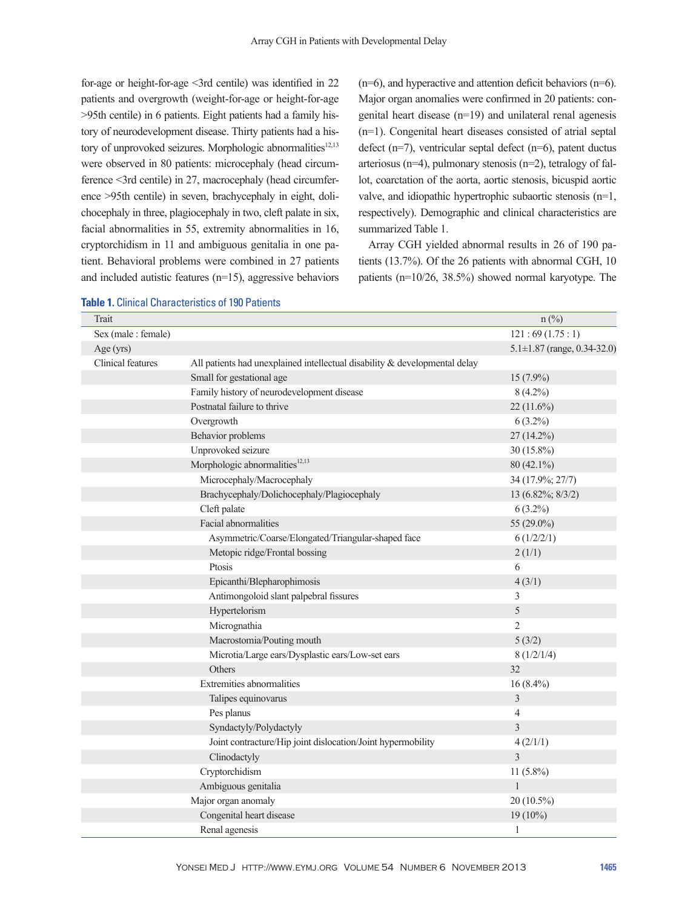for-age or height-for-age <3rd centile) was identified in 22 patients and overgrowth (weight-for-age or height-for-age >95th centile) in 6 patients. Eight patients had a family history of neurodevelopment disease. Thirty patients had a history of unprovoked seizures. Morphologic abnormalities<sup>12,13</sup> were observed in 80 patients: microcephaly (head circumference <3rd centile) in 27, macrocephaly (head circumference >95th centile) in seven, brachycephaly in eight, dolichocephaly in three, plagiocephaly in two, cleft palate in six, facial abnormalities in 55, extremity abnormalities in 16, cryptorchidism in 11 and ambiguous genitalia in one patient. Behavioral problems were combined in 27 patients and included autistic features (n=15), aggressive behaviors (n=6), and hyperactive and attention deficit behaviors (n=6). Major organ anomalies were confirmed in 20 patients: congenital heart disease (n=19) and unilateral renal agenesis (n=1). Congenital heart diseases consisted of atrial septal defect (n=7), ventricular septal defect (n=6), patent ductus arteriosus (n=4), pulmonary stenosis (n=2), tetralogy of fallot, coarctation of the aorta, aortic stenosis, bicuspid aortic valve, and idiopathic hypertrophic subaortic stenosis (n=1, respectively). Demographic and clinical characteristics are summarized Table 1.

Array CGH yielded abnormal results in 26 of 190 patients (13.7%). Of the 26 patients with abnormal CGH, 10 patients (n=10/26, 38.5%) showed normal karyotype. The

| Trait               |                                                                            | $n$ (%)                           |
|---------------------|----------------------------------------------------------------------------|-----------------------------------|
| Sex (male : female) |                                                                            | 121:69(1.75:1)                    |
| Age(yrs)            |                                                                            | $5.1 \pm 1.87$ (range, 0.34-32.0) |
| Clinical features   | All patients had unexplained intellectual disability & developmental delay |                                   |
|                     | Small for gestational age                                                  | $15(7.9\%)$                       |
|                     | Family history of neurodevelopment disease                                 | $8(4.2\%)$                        |
|                     | Postnatal failure to thrive                                                | 22 (11.6%)                        |
|                     | Overgrowth                                                                 | $6(3.2\%)$                        |
|                     | Behavior problems                                                          | 27 (14.2%)                        |
|                     | Unprovoked seizure                                                         | $30(15.8\%)$                      |
|                     | Morphologic abnormalities <sup>12,13</sup>                                 | $80(42.1\%)$                      |
|                     | Microcephaly/Macrocephaly                                                  | 34 (17.9%; 27/7)                  |
|                     | Brachycephaly/Dolichocephaly/Plagiocephaly                                 | 13 (6.82%; 8/3/2)                 |
|                     | Cleft palate                                                               | $6(3.2\%)$                        |
|                     | Facial abnormalities                                                       | 55 $(29.0\%)$                     |
|                     | Asymmetric/Coarse/Elongated/Triangular-shaped face                         | 6(1/2/2/1)                        |
|                     | Metopic ridge/Frontal bossing                                              | 2(1/1)                            |
|                     | Ptosis                                                                     | 6                                 |
|                     | Epicanthi/Blepharophimosis                                                 | 4(3/1)                            |
|                     | Antimongoloid slant palpebral fissures                                     | 3                                 |
|                     | Hypertelorism                                                              | 5                                 |
|                     | Micrognathia                                                               | $\overline{2}$                    |
|                     | Macrostomia/Pouting mouth                                                  | 5(3/2)                            |
|                     | Microtia/Large ears/Dysplastic ears/Low-set ears                           | 8(1/2/1/4)                        |
|                     | Others                                                                     | 32                                |
|                     | Extremities abnormalities                                                  | $16(8.4\%)$                       |
|                     | Talipes equinovarus                                                        | 3                                 |
|                     | Pes planus                                                                 | $\overline{4}$                    |
|                     | Syndactyly/Polydactyly                                                     | 3                                 |
|                     | Joint contracture/Hip joint dislocation/Joint hypermobility                | 4(2/1/1)                          |
|                     | Clinodactyly                                                               | $\overline{3}$                    |
|                     | Cryptorchidism                                                             | 11 (5.8%)                         |
|                     | Ambiguous genitalia                                                        | $\mathbf{1}$                      |
|                     | Major organ anomaly                                                        | $20(10.5\%)$                      |
|                     | Congenital heart disease                                                   | $19(10\%)$                        |
|                     | Renal agenesis                                                             | $\mathbf{1}$                      |

| <b>Table 1. Clinical Characteristics of 190 Patients</b> |  |  |  |
|----------------------------------------------------------|--|--|--|
|----------------------------------------------------------|--|--|--|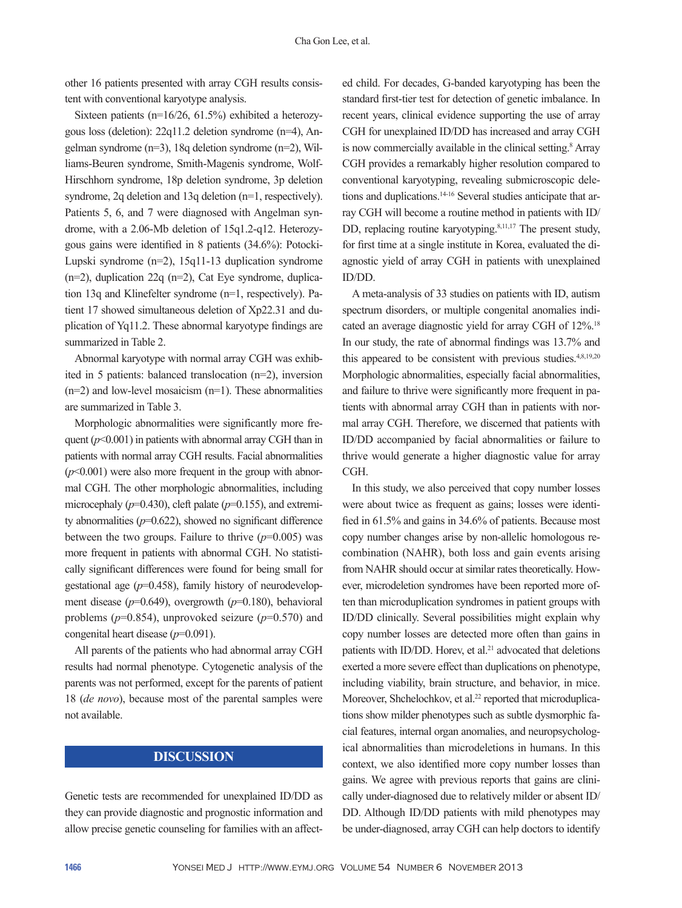other 16 patients presented with array CGH results consistent with conventional karyotype analysis.

Sixteen patients (n=16/26, 61.5%) exhibited a heterozygous loss (deletion): 22q11.2 deletion syndrome (n=4), Angelman syndrome (n=3), 18q deletion syndrome (n=2), Williams-Beuren syndrome, Smith-Magenis syndrome, Wolf-Hirschhorn syndrome, 18p deletion syndrome, 3p deletion syndrome, 2q deletion and 13q deletion (n=1, respectively). Patients 5, 6, and 7 were diagnosed with Angelman syndrome, with a 2.06-Mb deletion of 15q1.2-q12. Heterozygous gains were identified in 8 patients (34.6%): Potocki-Lupski syndrome (n=2), 15q11-13 duplication syndrome (n=2), duplication 22q (n=2), Cat Eye syndrome, duplication 13q and Klinefelter syndrome (n=1, respectively). Patient 17 showed simultaneous deletion of Xp22.31 and duplication of Yq11.2. These abnormal karyotype findings are summarized in Table 2.

Abnormal karyotype with normal array CGH was exhibited in 5 patients: balanced translocation (n=2), inversion (n=2) and low-level mosaicism (n=1). These abnormalities are summarized in Table 3.

Morphologic abnormalities were significantly more frequent  $(p<0.001)$  in patients with abnormal array CGH than in patients with normal array CGH results. Facial abnormalities  $(p<0.001)$  were also more frequent in the group with abnormal CGH. The other morphologic abnormalities, including microcephaly ( $p=0.430$ ), cleft palate ( $p=0.155$ ), and extremity abnormalities (*p*=0.622), showed no significant difference between the two groups. Failure to thrive  $(p=0.005)$  was more frequent in patients with abnormal CGH. No statistically significant differences were found for being small for gestational age (*p*=0.458), family history of neurodevelopment disease (*p*=0.649), overgrowth (*p*=0.180), behavioral problems (*p*=0.854), unprovoked seizure (*p*=0.570) and congenital heart disease (*p*=0.091).

All parents of the patients who had abnormal array CGH results had normal phenotype. Cytogenetic analysis of the parents was not performed, except for the parents of patient 18 (*de novo*), because most of the parental samples were not available.

#### **DISCUSSION**

Genetic tests are recommended for unexplained ID/DD as they can provide diagnostic and prognostic information and allow precise genetic counseling for families with an affect-

ed child. For decades, G-banded karyotyping has been the standard first-tier test for detection of genetic imbalance. In recent years, clinical evidence supporting the use of array CGH for unexplained ID/DD has increased and array CGH is now commercially available in the clinical setting.<sup>8</sup> Array CGH provides a remarkably higher resolution compared to conventional karyotyping, revealing submicroscopic deletions and duplications.14-16 Several studies anticipate that array CGH will become a routine method in patients with ID/ DD, replacing routine karyotyping.<sup>8,11,17</sup> The present study, for first time at a single institute in Korea, evaluated the diagnostic yield of array CGH in patients with unexplained ID/DD.

A meta-analysis of 33 studies on patients with ID, autism spectrum disorders, or multiple congenital anomalies indicated an average diagnostic yield for array CGH of 12%.18 In our study, the rate of abnormal findings was 13.7% and this appeared to be consistent with previous studies. $4,8,19,20$ Morphologic abnormalities, especially facial abnormalities, and failure to thrive were significantly more frequent in patients with abnormal array CGH than in patients with normal array CGH. Therefore, we discerned that patients with ID/DD accompanied by facial abnormalities or failure to thrive would generate a higher diagnostic value for array CGH.

In this study, we also perceived that copy number losses were about twice as frequent as gains; losses were identified in 61.5% and gains in 34.6% of patients. Because most copy number changes arise by non-allelic homologous recombination (NAHR), both loss and gain events arising from NAHR should occur at similar rates theoretically. However, microdeletion syndromes have been reported more often than microduplication syndromes in patient groups with ID/DD clinically. Several possibilities might explain why copy number losses are detected more often than gains in patients with ID/DD. Horev, et al.<sup>21</sup> advocated that deletions exerted a more severe effect than duplications on phenotype, including viability, brain structure, and behavior, in mice. Moreover, Shchelochkov, et al.<sup>22</sup> reported that microduplications show milder phenotypes such as subtle dysmorphic facial features, internal organ anomalies, and neuropsychological abnormalities than microdeletions in humans. In this context, we also identified more copy number losses than gains. We agree with previous reports that gains are clinically under-diagnosed due to relatively milder or absent ID/ DD. Although ID/DD patients with mild phenotypes may be under-diagnosed, array CGH can help doctors to identify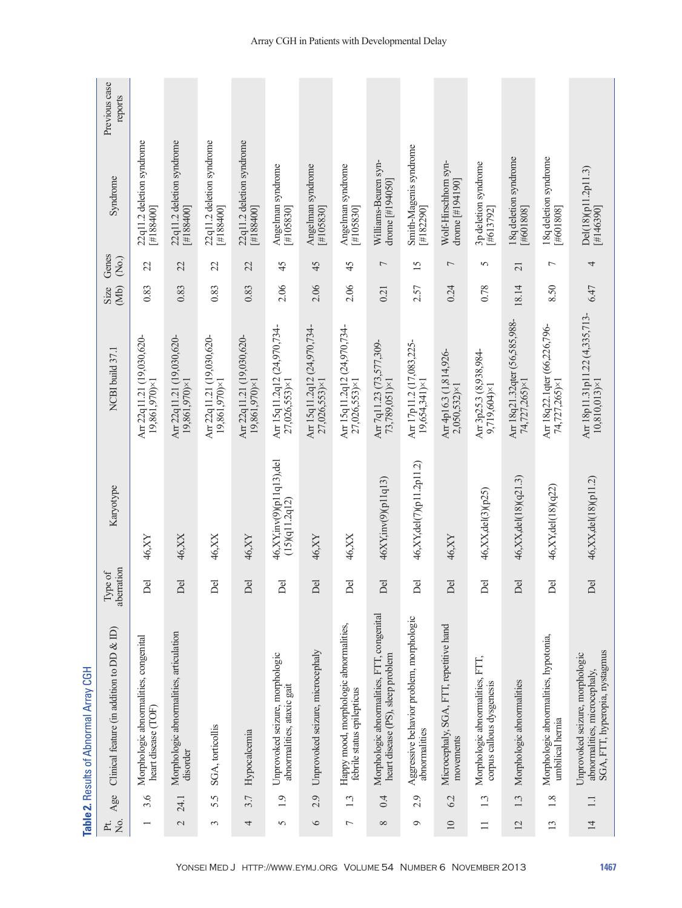|                      |        | Table 2. Results of Abnormal Array CGH                                                            |                        |                                              |                                                       |              |                 |                                         |                          |
|----------------------|--------|---------------------------------------------------------------------------------------------------|------------------------|----------------------------------------------|-------------------------------------------------------|--------------|-----------------|-----------------------------------------|--------------------------|
| $\frac{1}{2}$<br>Pt. | Age    | Clinical feature (in addition to DD $\&$ ID)                                                      | aberration<br>Type of  | Karyotype                                    | NCBI build 37.1                                       | (Mb)<br>Size | Genes<br>(No.)  | Syndrome                                | Previous case<br>reports |
|                      | 3.6    | Morphologic abnormalities, congenital<br>heart disease (TOF)                                      | Del                    | 46, XY                                       | Arr 22q11.21 (19,030,620-<br>$19,861,970\times1$      | 0.83         | $\mathcal{Z}$   | 22q11.2 deletion syndrome<br>#1884001   |                          |
| $\mathcal{L}$        | 24.1   | Morphologic abnormalities, articulation<br>disorder                                               | Del                    | 46, XX                                       | Arr 22q11.21 (19,030,620-<br>19,861,970)×1            | 0.83         | 22              | 22q11.2 deletion syndrome<br>#188400]   |                          |
| 3                    | 5.5    | SGA, torticollis                                                                                  | Del                    | 46, XX                                       | Arr 22q11.21 (19,030,620-<br>19,861,970)×1            | 0.83         | $\mathfrak{L}$  | 22q11.2 deletion syndrome<br>#188400]   |                          |
| 4                    | 3.7    | Hypocalcemia                                                                                      | Del                    | 46, XY                                       | Arr 22q11.21 (19,030,620-<br>$19,861,970\times1$      | 0.83         | 22              | 22q11.2 deletion syndrome<br>#1884001   |                          |
| 5                    | 1.9    | Unprovoked seizure, morphologic<br>abnormalities, ataxic gait                                     | Del                    | 46,XY, inv(9)(p11q13), del<br>(15)(q11.2q12) | Arr 15q11.2q12 (24,970,734-<br>27,026,553)×1          | 2.06         | 45              | Angelman syndrome<br>#105830]           |                          |
| $\circ$              | 2.9    | Unprovoked seizure, microcephaly                                                                  | Del                    | 46, XY                                       | Апт 15q11.2q12 (24,970,734-<br>27,026,553)×1          | 2.06         | 45              | Angelman syndrome<br>#105830]           |                          |
| $\overline{ }$       | 1.3    | Happy mood, morphologic abnormalities,<br>febrile status epilepticus                              | Del                    | $46, \! \mathrm{XX}$                         | Arr 15q11.2q12 (24,970,734-<br>27,026,553)×1          | 2.06         | 45              | Angelman syndrome<br>#105830]           |                          |
| $\infty$             | 0.4    | Morphologic abnormalities, FTT, congenital<br>heart disease (PS), sleep problem                   | Del                    | 46XY, inv(9)(p11q13)                         | Arr 7q11.23 (73,577,309-<br>73,789,051)×1             | 0.21         | $\overline{ }$  | Williams-Beuren syn-<br>drome [#194050] |                          |
| $\circ$              | 2.9    | Aggressive behavior problem, morphologic<br>abnormalities                                         | $\overline{\Phi}$<br>≏ | 46, XY, del(7)(p11.2p11.2)                   | Arr 17p11.2 (17,083,225-<br>$19,654,341\times1$       | 2.57         | $\overline{15}$ | Smith-Magenis syndrome<br>#182290]      |                          |
| $\Box$               | 6.2    | Microcephaly, SGA, FTT, repetitive hand<br>movements                                              | Del                    | 46, XY                                       | Arr 4p16.3 (1,814,926-<br>$2,050,532\times1$          | 0.24         | $\overline{ }$  | Wolf-Hirschhorn syn-<br>drome [#194190] |                          |
| $\equiv$             | 1.3    | Morphologic abnormalities, FTT,<br>corpus callous dysgenesis                                      | Del                    | 46, XX, del (3) (p25)                        | Arr 3p25.3 (8,938,984-<br>9,719,604)×1                | 0.78         | 5               | 3p deletion syndrome<br>#613792]        |                          |
| $\overline{2}$       | 1.3    | Morphologic abnormalities                                                                         | Del                    | 46, XX, del(18)(q21.3)                       | Arr 18q21.32qter (56,585,988-<br>74,727,265)×1        | 18.14        | $\overline{21}$ | 18q deletion syndrome<br>[#601808]      |                          |
| $\overline{13}$      | 1.8    | Morphologic abnormalities, hypotonia,<br>umbilical hemia                                          | Del                    | 46, XY, del(18)(q22)                         | Arr 18q22.1qter (66,226,796-<br>74,727,265)×1         | 8.50         | $\overline{ }$  | 18q deletion syndrome<br>[#601808]      |                          |
| $\overline{4}$       | $\Box$ | SGA, FTT, hyperopia, nystagmus<br>Unprovoked seizure, morphologic<br>abnormalities, microcephaly, | Del                    | 46, XX, del(18)(p11.2)                       | Arr 18p11.31p11.22 (4,335,713-<br>$10,810,013\times1$ | 6.47         | 4               | Del(18)(p11.2p11.3)<br> #146390         |                          |

### Array CGH in Patients with Developmental Delay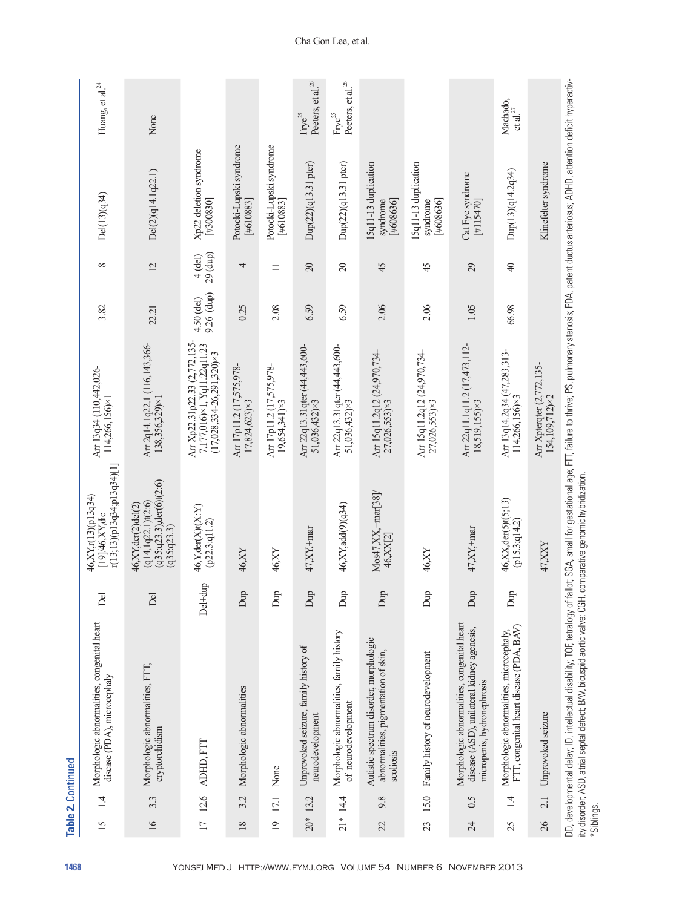|    | 14        | Morphologic abnormalities, congenital heart<br>disease (PDA), microcephaly                                              | Del                         | r(13;13)(p13q34;p13q34)[1]<br>46, XY, r(13) (p13q34)<br>$[19]$ /46, $XY$ , dic                     | Arr 13q34 (110,442,026-<br>$114,266,156\times$                                                   | 3.82                     | $\infty$              | Del(13)(q34)                                 | Huang, et al. $^{24}$                               |
|----|-----------|-------------------------------------------------------------------------------------------------------------------------|-----------------------------|----------------------------------------------------------------------------------------------------|--------------------------------------------------------------------------------------------------|--------------------------|-----------------------|----------------------------------------------|-----------------------------------------------------|
|    | 3.3       | Morphologic abnormalities, FTT,<br>cryptorchidism                                                                       | Del                         | $(q35:q23.3)$ , der $(6)$ t $(2:6)$<br>(q14, 1q22.1)t(2.6)<br>46, XY, der(2) del(2)<br>(q35:q23.3) | Arr 2q14.1q22.1 (116,143,366-<br>138,356,329)×1                                                  | 22.21                    | $\overline{2}$        | Del(2)(q14.1q22.1)                           | None                                                |
|    | 12.6      | ADHD, FTT                                                                                                               | Del+dup                     | 46, Y, der (X)t(X: Y)<br>(p22.3:q11.2)                                                             | Arr Xp22.31p22.33 (2,772,135-<br>7,177,016)×1, Yq11.22q11.23<br>$(17,028,334-26,291,320)\times3$ | 9.26 (dup)<br>4.50 (del) | 29 (dup)<br>$4$ (del) | Xp22 deletion syndrome<br>[#300830]          |                                                     |
|    | 3.2       | Morphologic abnormalities                                                                                               | Dup                         | 46,XY                                                                                              | Arr 17p11.2 (17,575,978-<br>$17,824,623\times3$                                                  | 0.25                     | 4                     | Potocki-Lupski syndrome<br>[#610883]         |                                                     |
|    | 17.1      | None                                                                                                                    | Dup                         | 46,XY                                                                                              | Arr 17p11.2 (17,575,978-<br>$19,654,341\times3$                                                  | 2.08                     | $\Box$                | Potocki-Lupski syndrome<br>[#610883]         |                                                     |
|    | $20*13.2$ | Unprovoked seizure, family history of<br>neurodevelopment                                                               | Dup                         | 47,XY,+mar                                                                                         | Arr 22q13.31qter (44,443,600-<br>51,036,432)×3                                                   | 6.59                     | $\overline{20}$       | Dup(22)(q13.31 pter)                         | Peeters, et al. <sup>26</sup><br>$\mbox{Frye}^{25}$ |
|    | $21*14.4$ | Morphologic abnormalities, family history<br>of neurodevelopment                                                        | Dup                         | 46,XY,add(9)(q34)                                                                                  | Arr 22q13.31qter (44,443,600-<br>51,036,432)×3                                                   | 6.59                     | $\overline{c}$        | Dup(22)(q13.31 pter)                         | Peeters, et al. $^{26}$<br>$Frye^{25}$              |
|    | 9.8       | Autistic spectrum disorder, morphologic<br>abnormalities, pigmentation of skin,<br>scoliosis                            | Dup                         | Mos47, XX, +mar[38]/<br>46, XX[2]                                                                  | Arr 15q11.2q12 (24,970,734-<br>27,026,553)×3                                                     | 2.06                     | 45                    | 15q11-13 duplication<br>#608636]<br>syndrome |                                                     |
|    | 15.0      | Family history of neurodevelopment                                                                                      | Dup                         | 46,XY                                                                                              | Arr 15q11.2q12 (24,970,734-<br>27,026,553)×3                                                     | 2.06                     | 45                    | 15q11-13 duplication<br>#608636]<br>syndrome |                                                     |
|    | 0.5       | Morphologic abnormalities, congenital heart<br>disease (ASD), unilateral kidney agenesis,<br>micropenis, hydronephrosis | Dup                         | $47,$ X $Y,$ +mar                                                                                  | Arr 22q11.1q11.2 (17,473,112-<br>18,519,155)×3                                                   | 1.05                     | 29                    | Cat Eye syndrome<br>[#115470]                |                                                     |
| 25 | 14        | FTT, congenital heart disease (PDA, BAV)<br>Morphologic abnormalities, microcephaly,                                    | $\mathop{\rm Dup}\nolimits$ | 46, XX, der(5)t(5;13)<br>(p15.3; q14.2)                                                            | Arr 13q14.2q34 (47,283,313-<br>114,266,156)×3                                                    | 66.98                    | $\Theta$              | Dup(13)(q14.2q34)                            | Machado,<br>$\mathfrak{e}\mathfrak{t}$ al. $^{27}$  |
|    | 2.1       | Unprovoked seizure                                                                                                      |                             | 47, XXY                                                                                            | Arr Xpterqter (2,772,135-<br>154,109,712)×2                                                      |                          |                       | Klinefelter syndrome                         |                                                     |

Cha Gon Lee, et al.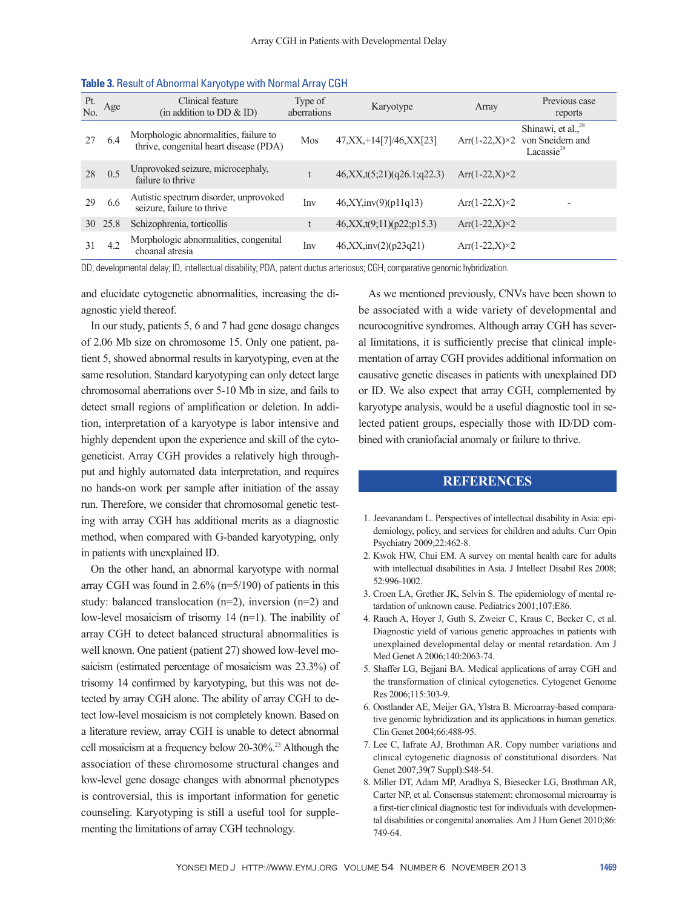| Pt.<br>No. | Age  | Clinical feature<br>(in addition to DD $\&$ ID)                                 | Type of<br>aberrations | Karyotype                      | Array                   | Previous case<br>reports                                                     |
|------------|------|---------------------------------------------------------------------------------|------------------------|--------------------------------|-------------------------|------------------------------------------------------------------------------|
| 27         | 6.4  | Morphologic abnormalities, failure to<br>thrive, congenital heart disease (PDA) | Mos                    | 47, XX, +14[7] / 46, XX[23]    | $Arr(1-22,X)\times2$    | Shinawi, et al., <sup>28</sup><br>von Sneidern and<br>Lacassie <sup>29</sup> |
| 28         | 0.5  | Unprovoked seizure, microcephaly,<br>failure to thrive                          |                        | 46, XX, t(5; 21)(q26.1; q22.3) | Arr $(1-22,X) \times 2$ |                                                                              |
| 29         | 6.6  | Autistic spectrum disorder, unprovoked<br>seizure, failure to thrive            | <b>lny</b>             | 46, XY, inv(9)(p11q13)         | $Arr(1-22,X)\times2$    |                                                                              |
| 30         | 25.8 | Schizophrenia, torticollis                                                      | t                      | 46, XX, t(9,11)(p22;p15.3)     | Arr $(1-22,X)\times 2$  |                                                                              |
| 31         | 4.2  | Morphologic abnormalities, congenital<br>choanal atresia                        | Inv                    | 46, XX, inv(2)(p23q21)         | $Arr(1-22,X)\times2$    |                                                                              |

#### **Table 3.** Result of Abnormal Karyotype with Normal Array CGH

DD, developmental delay; ID, intellectual disability; PDA, patent ductus arteriosus; CGH, comparative genomic hybridization.

and elucidate cytogenetic abnormalities, increasing the diagnostic yield thereof.

In our study, patients 5, 6 and 7 had gene dosage changes of 2.06 Mb size on chromosome 15. Only one patient, patient 5, showed abnormal results in karyotyping, even at the same resolution. Standard karyotyping can only detect large chromosomal aberrations over 5-10 Mb in size, and fails to detect small regions of amplification or deletion. In addition, interpretation of a karyotype is labor intensive and highly dependent upon the experience and skill of the cytogeneticist. Array CGH provides a relatively high throughput and highly automated data interpretation, and requires no hands-on work per sample after initiation of the assay run. Therefore, we consider that chromosomal genetic testing with array CGH has additional merits as a diagnostic method, when compared with G-banded karyotyping, only in patients with unexplained ID.

On the other hand, an abnormal karyotype with normal array CGH was found in 2.6% (n=5/190) of patients in this study: balanced translocation (n=2), inversion (n=2) and low-level mosaicism of trisomy 14 (n=1). The inability of array CGH to detect balanced structural abnormalities is well known. One patient (patient 27) showed low-level mosaicism (estimated percentage of mosaicism was 23.3%) of trisomy 14 confirmed by karyotyping, but this was not detected by array CGH alone. The ability of array CGH to detect low-level mosaicism is not completely known. Based on a literature review, array CGH is unable to detect abnormal cell mosaicism at a frequency below 20-30%.23 Although the association of these chromosome structural changes and low-level gene dosage changes with abnormal phenotypes is controversial, this is important information for genetic counseling. Karyotyping is still a useful tool for supplementing the limitations of array CGH technology.

As we mentioned previously, CNVs have been shown to be associated with a wide variety of developmental and neurocognitive syndromes. Although array CGH has several limitations, it is sufficiently precise that clinical implementation of array CGH provides additional information on causative genetic diseases in patients with unexplained DD or ID. We also expect that array CGH, complemented by karyotype analysis, would be a useful diagnostic tool in selected patient groups, especially those with ID/DD combined with craniofacial anomaly or failure to thrive.

#### **REFERENCES**

- 1. Jeevanandam L. Perspectives of intellectual disability in Asia: epidemiology, policy, and services for children and adults. Curr Opin Psychiatry 2009;22:462-8.
- 2. Kwok HW, Chui EM. A survey on mental health care for adults with intellectual disabilities in Asia. J Intellect Disabil Res 2008; 52:996-1002.
- 3. Croen LA, Grether JK, Selvin S. The epidemiology of mental retardation of unknown cause. Pediatrics 2001;107:E86.
- 4. Rauch A, Hoyer J, Guth S, Zweier C, Kraus C, Becker C, et al. Diagnostic yield of various genetic approaches in patients with unexplained developmental delay or mental retardation. Am J Med Genet A 2006;140:2063-74.
- 5. Shaffer LG, Bejjani BA. Medical applications of array CGH and the transformation of clinical cytogenetics. Cytogenet Genome Res 2006;115:303-9.
- 6. Oostlander AE, Meijer GA, Ylstra B. Microarray-based comparative genomic hybridization and its applications in human genetics. Clin Genet 2004;66:488-95.
- 7. Lee C, Iafrate AJ, Brothman AR. Copy number variations and clinical cytogenetic diagnosis of constitutional disorders. Nat Genet 2007;39(7 Suppl):S48-54.
- 8. Miller DT, Adam MP, Aradhya S, Biesecker LG, Brothman AR, Carter NP, et al. Consensus statement: chromosomal microarray is a first-tier clinical diagnostic test for individuals with developmental disabilities or congenital anomalies. Am J Hum Genet 2010;86: 749-64.